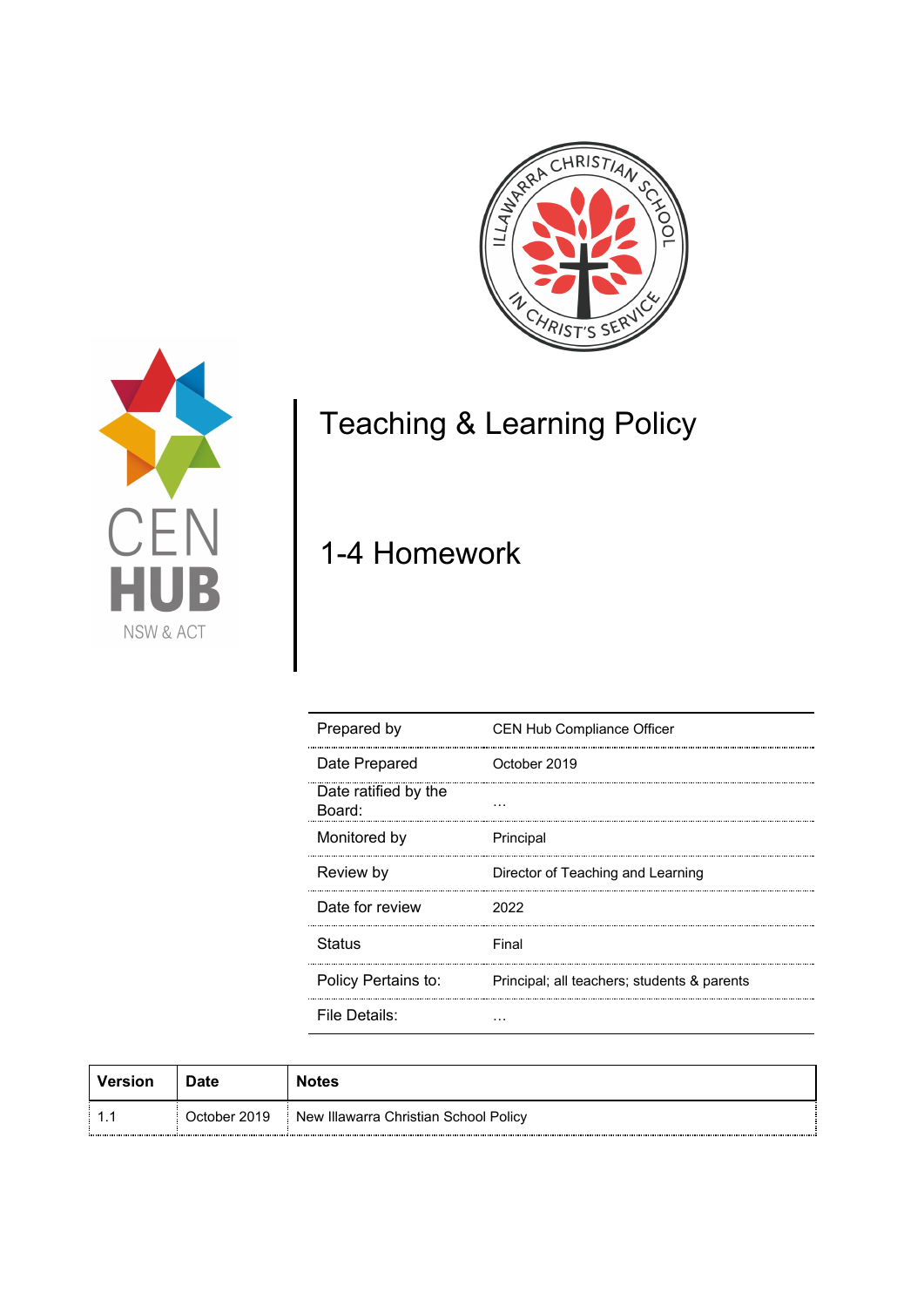



# Teaching & Learning Policy

## 1-4 Homework

| Prepared by                    | <b>CEN Hub Compliance Officer</b>           |  |
|--------------------------------|---------------------------------------------|--|
| Date Prepared                  | October 2019                                |  |
| Date ratified by the<br>Board: |                                             |  |
| Monitored by                   | Principal                                   |  |
| Review by                      | Director of Teaching and Learning           |  |
| Date for review                | 2022                                        |  |
| <b>Status</b>                  | Final                                       |  |
| Policy Pertains to:            | Principal; all teachers; students & parents |  |
| File Details:                  |                                             |  |

| Version | Date         | <b>Notes</b>                          |
|---------|--------------|---------------------------------------|
|         | October 2019 | New Illawarra Christian School Policy |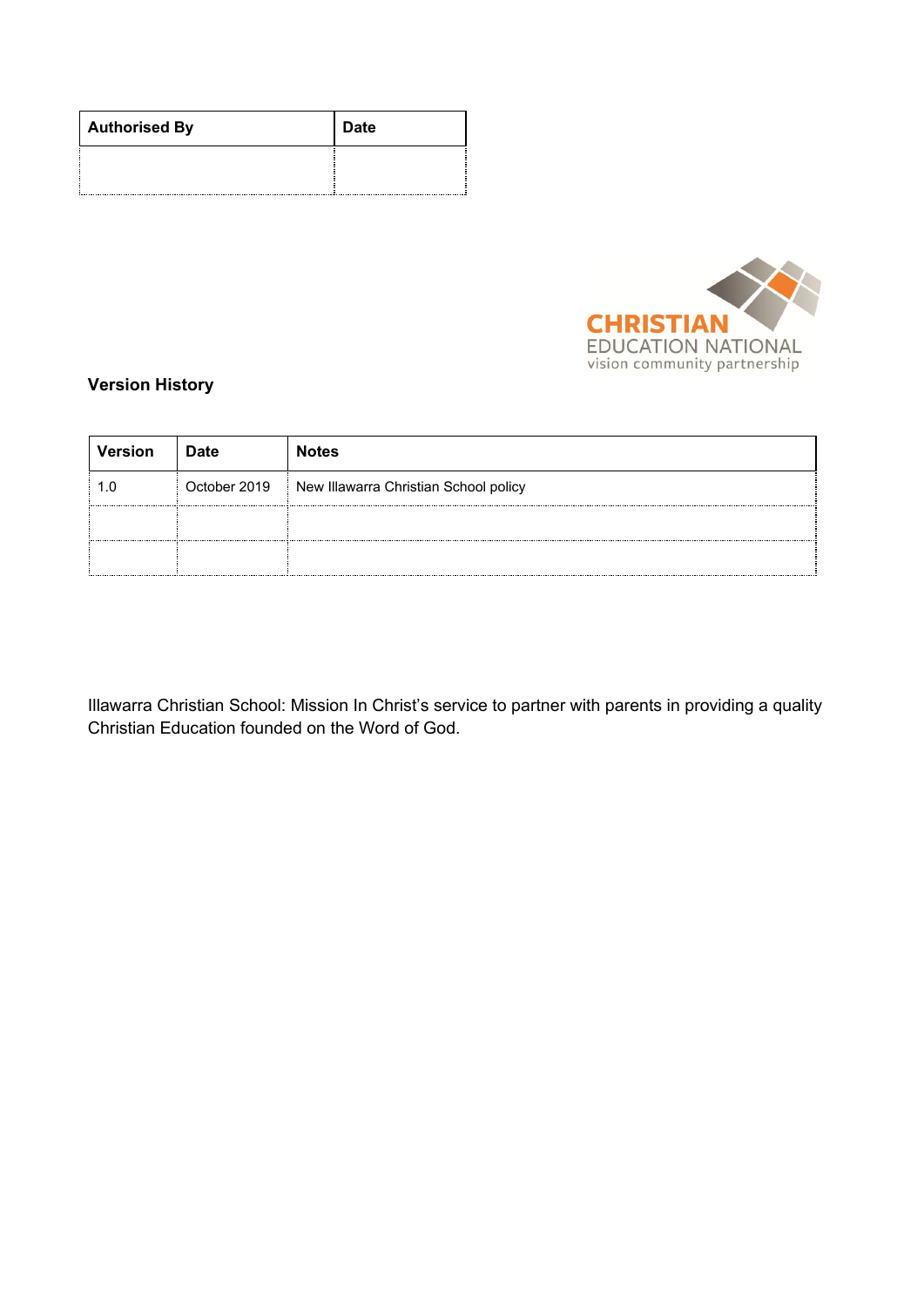| <b>Authorised By</b> | <b>Date</b> |
|----------------------|-------------|
|                      |             |



## **Version History**

| <b>Version</b> | <b>Date</b>  | <b>Notes</b>                          |
|----------------|--------------|---------------------------------------|
|                | October 2019 | New Illawarra Christian School policy |
|                |              |                                       |
|                |              |                                       |

Illawarra Christian School: Mission In Christ's service to partner with parents in providing a quality Christian Education founded on the Word of God.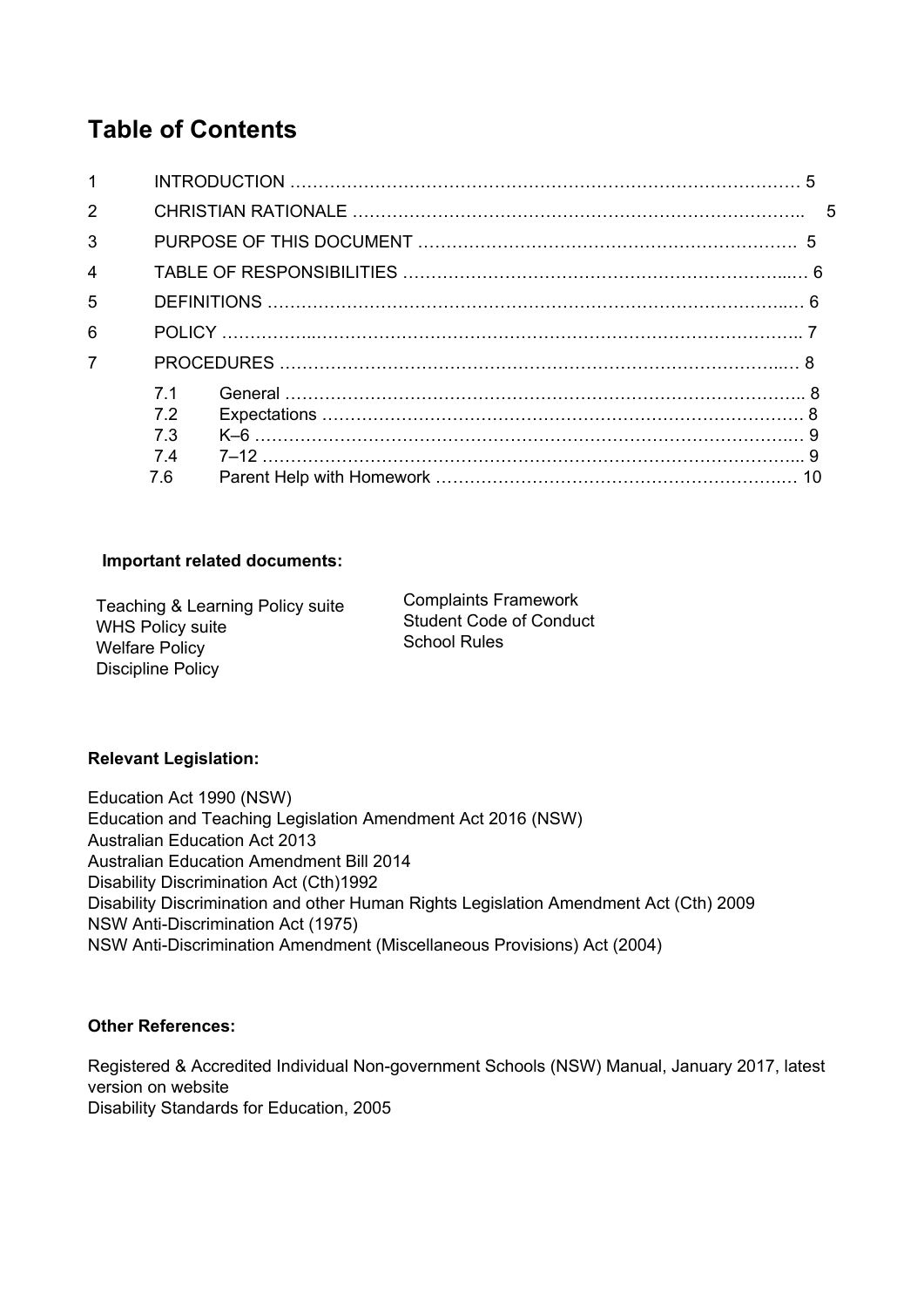## **Table of Contents**

| $\mathbf{1}$            |                             |  |  |  |
|-------------------------|-----------------------------|--|--|--|
| $\overline{2}$          |                             |  |  |  |
| 3                       |                             |  |  |  |
| $\overline{\mathbf{4}}$ |                             |  |  |  |
| 5                       |                             |  |  |  |
| 6                       |                             |  |  |  |
| $\overline{7}$          |                             |  |  |  |
|                         | 71<br>72<br><b>73</b><br>74 |  |  |  |
|                         | 7.6                         |  |  |  |

## **Important related documents:**

Teaching & Learning Policy suite WHS Policy suite Welfare Policy Discipline Policy

Complaints Framework Student Code of Conduct School Rules

## **Relevant Legislation:**

Education Act 1990 (NSW) Education and Teaching Legislation Amendment Act 2016 (NSW) Australian Education Act 2013 Australian Education Amendment Bill 2014 Disability Discrimination Act (Cth)1992 Disability Discrimination and other Human Rights Legislation Amendment Act (Cth) 2009 NSW Anti-Discrimination Act (1975) NSW Anti-Discrimination Amendment (Miscellaneous Provisions) Act (2004)

## **Other References:**

Registered & Accredited Individual Non-government Schools (NSW) Manual, January 2017, latest version on website Disability Standards for Education, 2005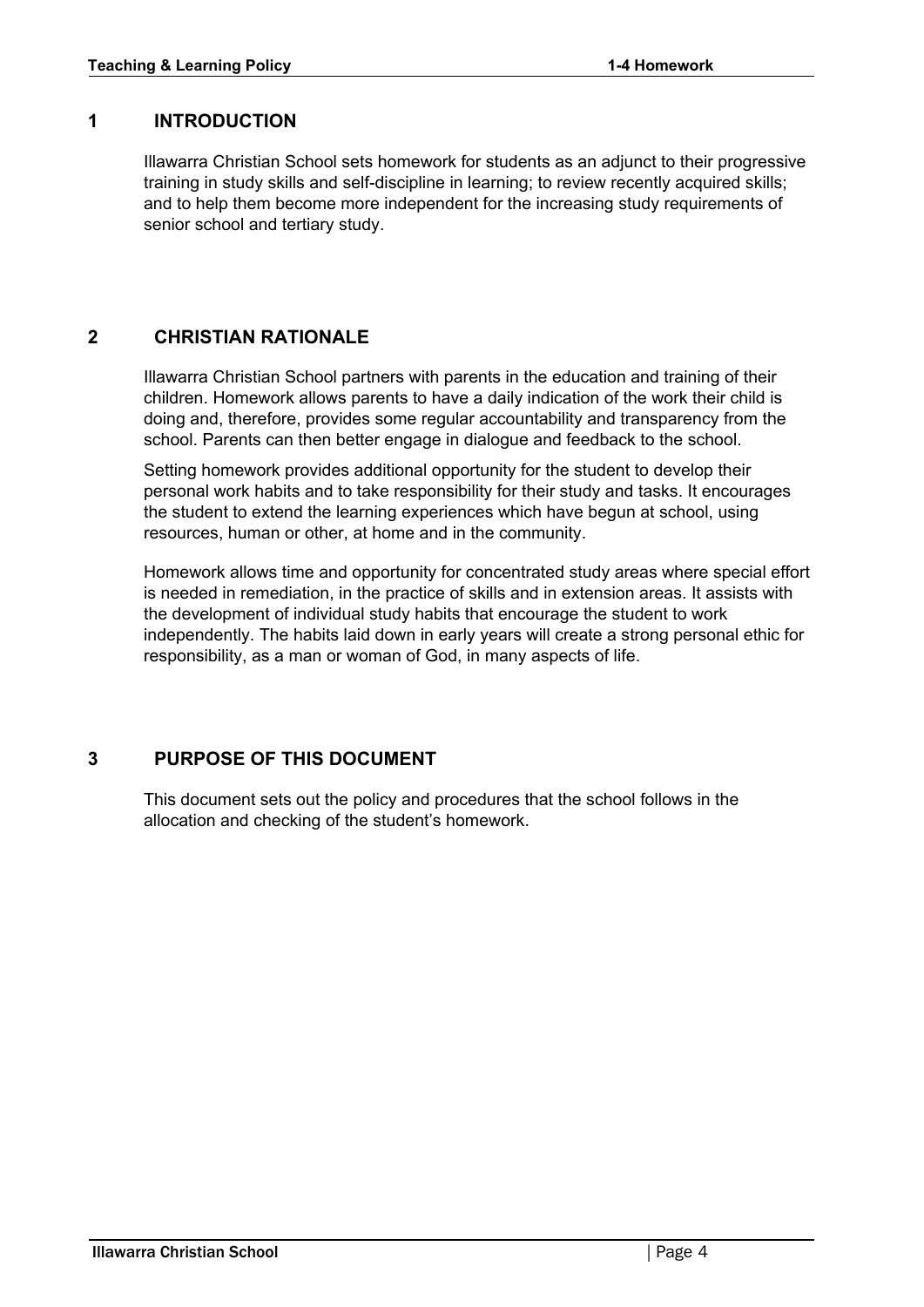## <span id="page-3-0"></span>**1 INTRODUCTION**

Illawarra Christian School sets homework for students as an adjunct to their progressive training in study skills and self-discipline in learning; to review recently acquired skills; and to help them become more independent for the increasing study requirements of senior school and tertiary study.

## <span id="page-3-1"></span>**2 CHRISTIAN RATIONALE**

Illawarra Christian School partners with parents in the education and training of their children. Homework allows parents to have a daily indication of the work their child is doing and, therefore, provides some regular accountability and transparency from the school. Parents can then better engage in dialogue and feedback to the school.

Setting homework provides additional opportunity for the student to develop their personal work habits and to take responsibility for their study and tasks. It encourages the student to extend the learning experiences which have begun at school, using resources, human or other, at home and in the community.

Homework allows time and opportunity for concentrated study areas where special effort is needed in remediation, in the practice of skills and in extension areas. It assists with the development of individual study habits that encourage the student to work independently. The habits laid down in early years will create a strong personal ethic for responsibility, as a man or woman of God, in many aspects of life.

## <span id="page-3-2"></span>**3 PURPOSE OF THIS DOCUMENT**

This document sets out the policy and procedures that the school follows in the allocation and checking of the student's homework.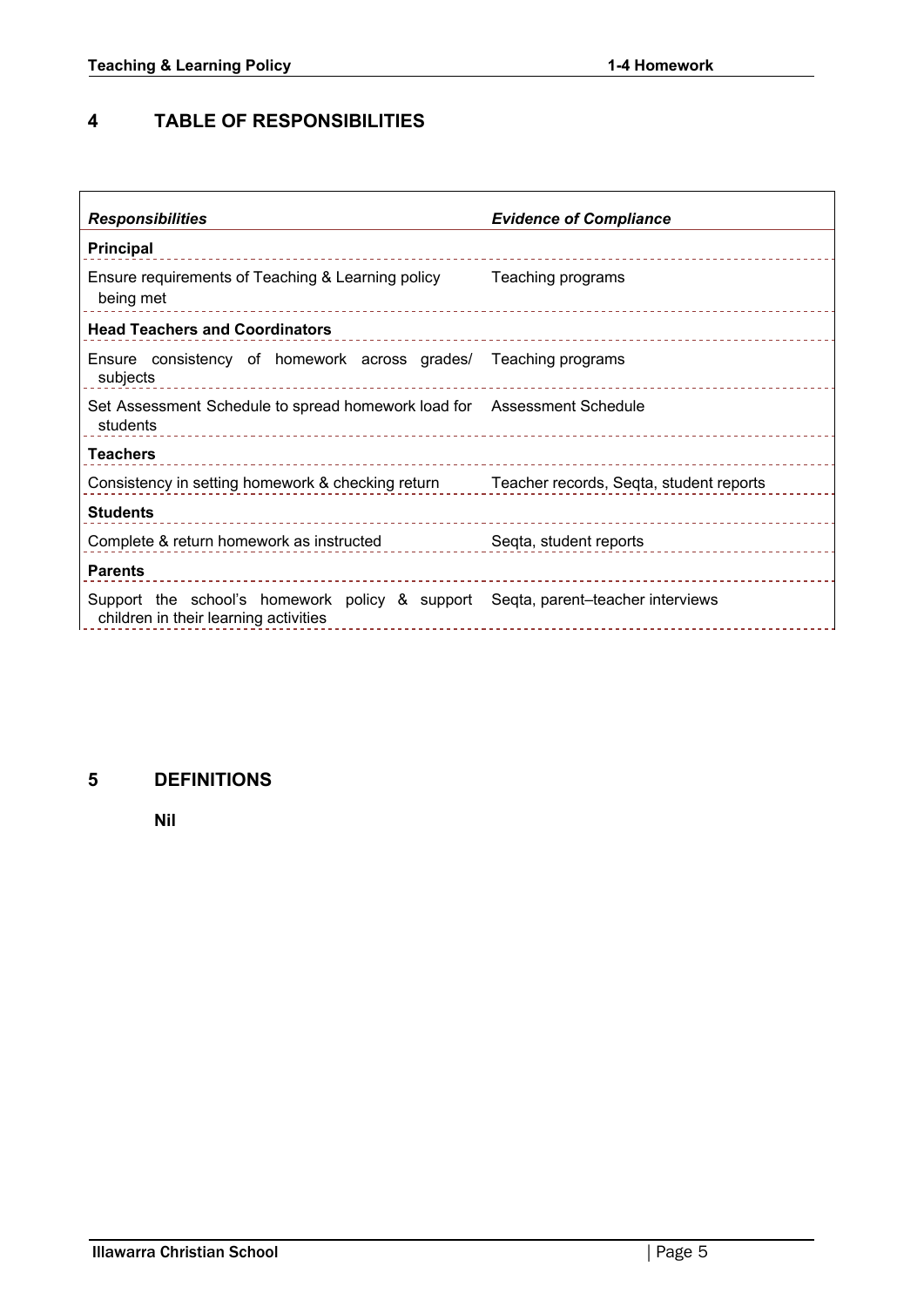## <span id="page-4-0"></span>**4 TABLE OF RESPONSIBILITIES**

| <b>Responsibilities</b>                                                                                                  | <b>Evidence of Compliance</b> |  |  |  |
|--------------------------------------------------------------------------------------------------------------------------|-------------------------------|--|--|--|
| <b>Principal</b>                                                                                                         |                               |  |  |  |
| Ensure requirements of Teaching & Learning policy<br>being met                                                           | Teaching programs             |  |  |  |
| <b>Head Teachers and Coordinators</b>                                                                                    |                               |  |  |  |
| Ensure consistency of homework across grades/ Teaching programs<br>subjects                                              |                               |  |  |  |
| Set Assessment Schedule to spread homework load for Assessment Schedule<br>students                                      |                               |  |  |  |
| <b>Teachers</b>                                                                                                          |                               |  |  |  |
| Consistency in setting homework & checking return Teacher records, Seqta, student reports                                |                               |  |  |  |
| <b>Students</b>                                                                                                          |                               |  |  |  |
| Complete & return homework as instructed                                                                                 | Seqta, student reports        |  |  |  |
| <b>Parents</b>                                                                                                           |                               |  |  |  |
| Support the school's homework policy & support Seqta, parent-teacher interviews<br>children in their learning activities |                               |  |  |  |

## <span id="page-4-1"></span>**5 DEFINITIONS**

**Nil**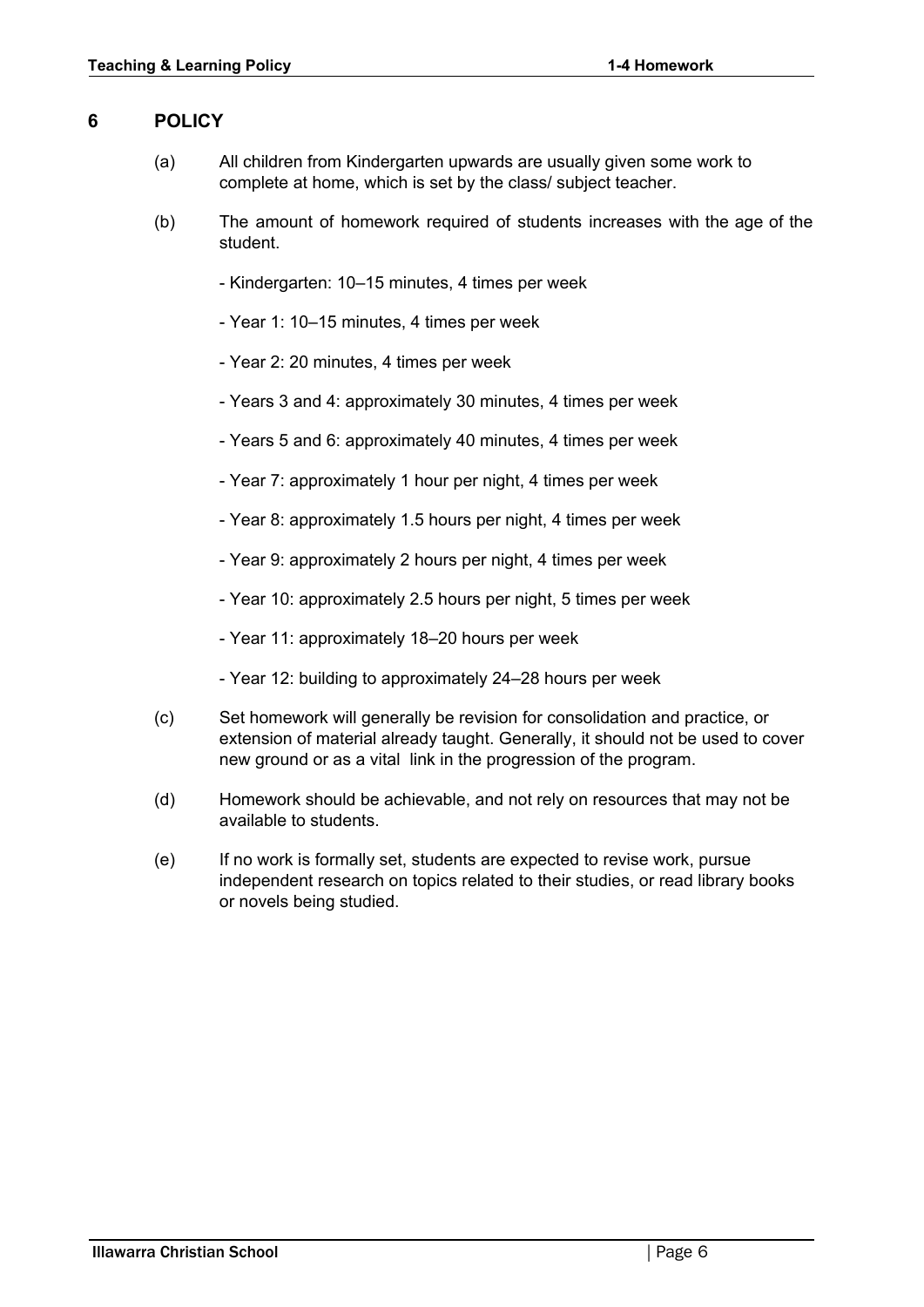## <span id="page-5-0"></span>**6 POLICY**

- (a) All children from Kindergarten upwards are usually given some work to complete at home, which is set by the class/ subject teacher.
- (b) The amount of homework required of students increases with the age of the student.
	- Kindergarten: 10–15 minutes, 4 times per week
	- Year 1: 10–15 minutes, 4 times per week
	- Year 2: 20 minutes, 4 times per week
	- Years 3 and 4: approximately 30 minutes, 4 times per week
	- Years 5 and 6: approximately 40 minutes, 4 times per week
	- Year 7: approximately 1 hour per night, 4 times per week
	- Year 8: approximately 1.5 hours per night, 4 times per week
	- Year 9: approximately 2 hours per night, 4 times per week
	- Year 10: approximately 2.5 hours per night, 5 times per week
	- Year 11: approximately 18–20 hours per week
	- Year 12: building to approximately 24–28 hours per week
- (c) Set homework will generally be revision for consolidation and practice, or extension of material already taught. Generally, it should not be used to cover new ground or as a vital link in the progression of the program.
- (d) Homework should be achievable, and not rely on resources that may not be available to students.
- (e) If no work is formally set, students are expected to revise work, pursue independent research on topics related to their studies, or read library books or novels being studied.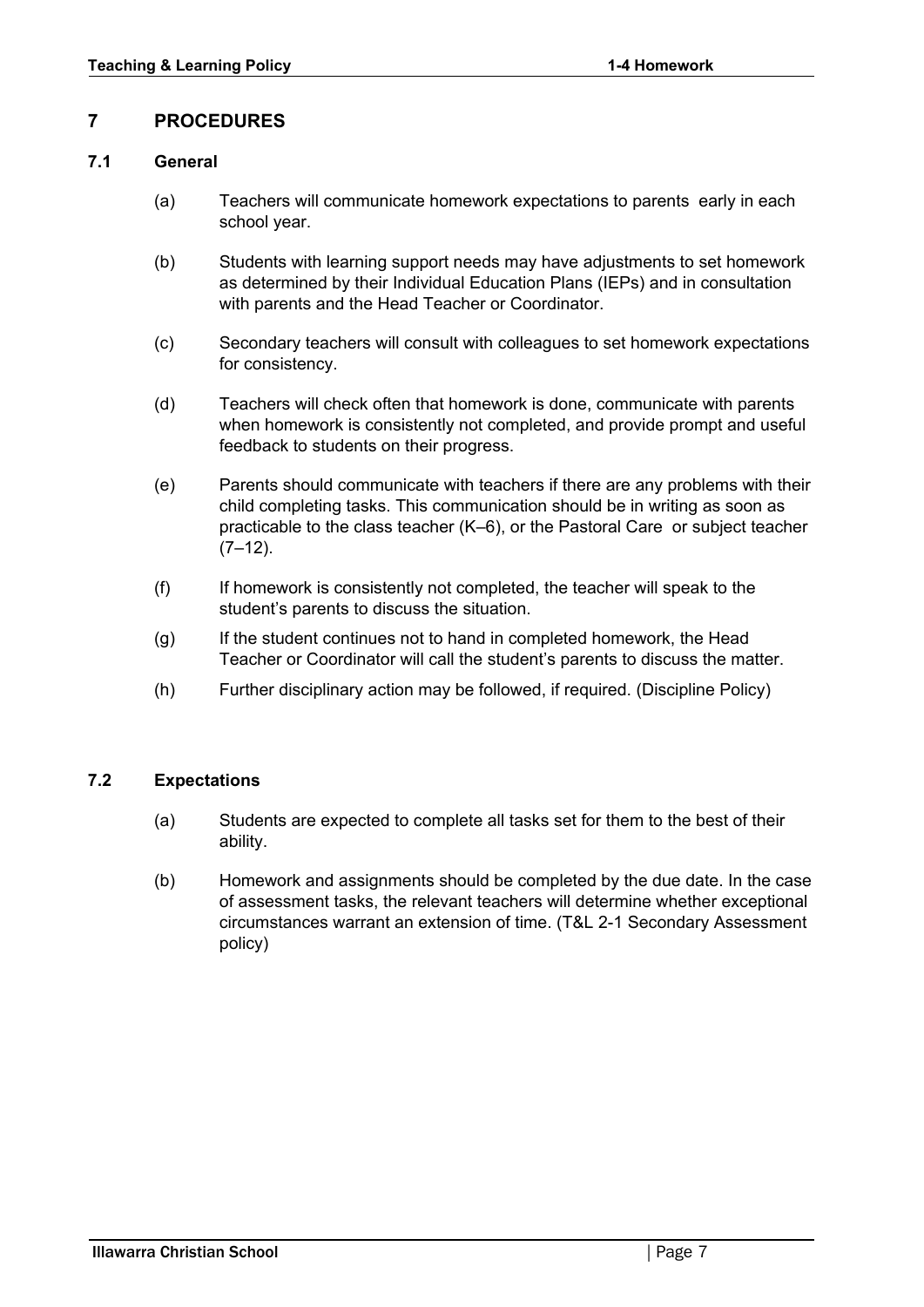## <span id="page-6-0"></span>**7 PROCEDURES**

## <span id="page-6-1"></span>**7.1 General**

- (a) Teachers will communicate homework expectations to parents early in each school year.
- (b) Students with learning support needs may have adjustments to set homework as determined by their Individual Education Plans (IEPs) and in consultation with parents and the Head Teacher or Coordinator.
- (c) Secondary teachers will consult with colleagues to set homework expectations for consistency.
- (d) Teachers will check often that homework is done, communicate with parents when homework is consistently not completed, and provide prompt and useful feedback to students on their progress.
- (e) Parents should communicate with teachers if there are any problems with their child completing tasks. This communication should be in writing as soon as practicable to the class teacher (K–6), or the Pastoral Care or subject teacher  $(7-12)$ .
- (f) If homework is consistently not completed, the teacher will speak to the student's parents to discuss the situation.
- (g) If the student continues not to hand in completed homework, the Head Teacher or Coordinator will call the student's parents to discuss the matter.
- (h) Further disciplinary action may be followed, if required. (Discipline Policy)

## <span id="page-6-2"></span>**7.2 Expectations**

- (a) Students are expected to complete all tasks set for them to the best of their ability.
- (b) Homework and assignments should be completed by the due date. In the case of assessment tasks, the relevant teachers will determine whether exceptional circumstances warrant an extension of time. (T&L 2-1 Secondary Assessment policy)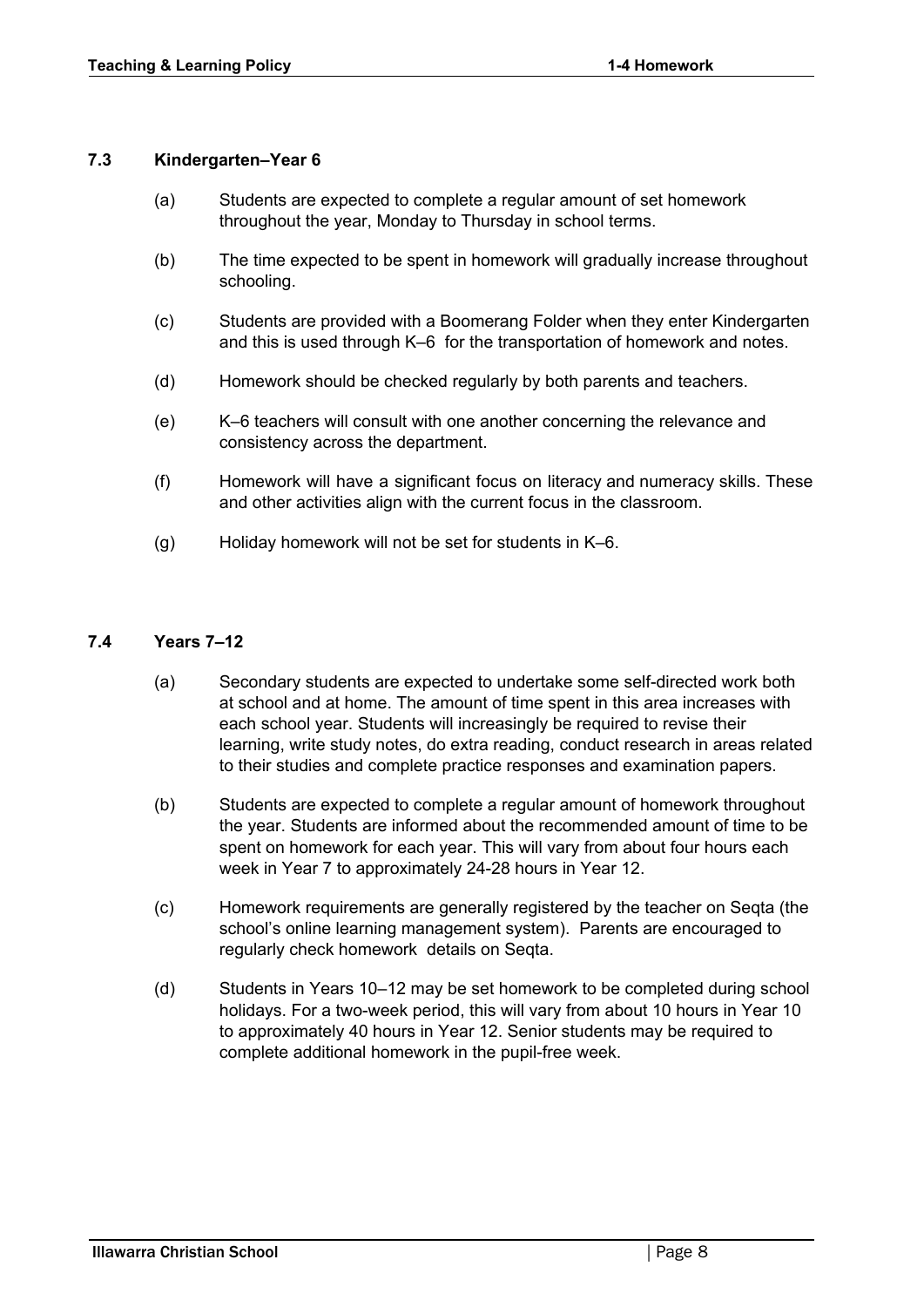#### <span id="page-7-0"></span>**7.3 Kindergarten–Year 6**

- (a) Students are expected to complete a regular amount of set homework throughout the year, Monday to Thursday in school terms.
- (b) The time expected to be spent in homework will gradually increase throughout schooling.
- (c) Students are provided with a Boomerang Folder when they enter Kindergarten and this is used through K–6 for the transportation of homework and notes.
- (d) Homework should be checked regularly by both parents and teachers.
- (e) K–6 teachers will consult with one another concerning the relevance and consistency across the department.
- (f) Homework will have a significant focus on literacy and numeracy skills. These and other activities align with the current focus in the classroom.
- (g) Holiday homework will not be set for students in K–6.

#### <span id="page-7-1"></span>**7.4 Years 7–12**

- (a) Secondary students are expected to undertake some self-directed work both at school and at home. The amount of time spent in this area increases with each school year. Students will increasingly be required to revise their learning, write study notes, do extra reading, conduct research in areas related to their studies and complete practice responses and examination papers.
- (b) Students are expected to complete a regular amount of homework throughout the year. Students are informed about the recommended amount of time to be spent on homework for each year. This will vary from about four hours each week in Year 7 to approximately 24-28 hours in Year 12.
- (c) Homework requirements are generally registered by the teacher on Seqta (the school's online learning management system). Parents are encouraged to regularly check homework details on Seqta.
- (d) Students in Years 10–12 may be set homework to be completed during school holidays. For a two-week period, this will vary from about 10 hours in Year 10 to approximately 40 hours in Year 12. Senior students may be required to complete additional homework in the pupil-free week.